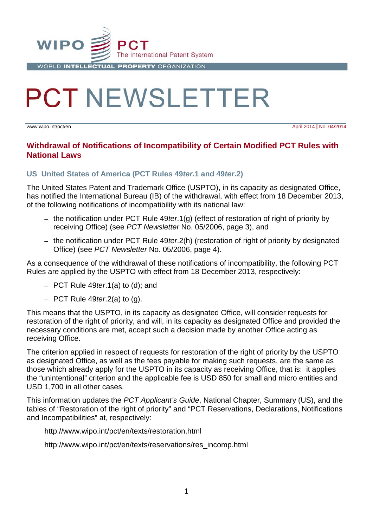

# **PCT NEWSLETTER**

www.wipo.int/pct/en April 2014 **|** No. 04/2014

#### **Withdrawal of Notifications of Incompatibility of Certain Modified PCT Rules with National Laws**

#### **US United States of America (PCT Rules 49***ter***.1 and 49***ter***.2)**

The United States Patent and Trademark Office (USPTO), in its capacity as designated Office, has notified the International Bureau (IB) of the withdrawal, with effect from 18 December 2013, of the following notifications of incompatibility with its national law:

- the notification under PCT Rule 49*ter*.1(g) (effect of restoration of right of priority by receiving Office) (see *PCT Newsletter* No. 05/2006, page 3), and
- the notification under PCT Rule 49*ter*.2(h) (restoration of right of priority by designated Office) (see *PCT Newsletter* No. 05/2006, page 4).

As a consequence of the withdrawal of these notifications of incompatibility, the following PCT Rules are applied by the USPTO with effect from 18 December 2013, respectively:

- PCT Rule 49*ter*.1(a) to (d); and
- PCT Rule 49*ter*.2(a) to (g).

This means that the USPTO, in its capacity as designated Office, will consider requests for restoration of the right of priority, and will, in its capacity as designated Office and provided the necessary conditions are met, accept such a decision made by another Office acting as receiving Office.

The criterion applied in respect of requests for restoration of the right of priority by the USPTO as designated Office, as well as the fees payable for making such requests, are the same as those which already apply for the USPTO in its capacity as receiving Office, that is: it applies the "unintentional" criterion and the applicable fee is USD 850 for small and micro entities and USD 1,700 in all other cases.

This information updates the *PCT Applicant's Guide*, National Chapter, Summary (US), and the tables of "Restoration of the right of priority" and "PCT Reservations, Declarations, Notifications and Incompatibilities" at, respectively:

http://www.wipo.int/pct/en/texts/restoration.html

http://www.wipo.int/pct/en/texts/reservations/res\_incomp.html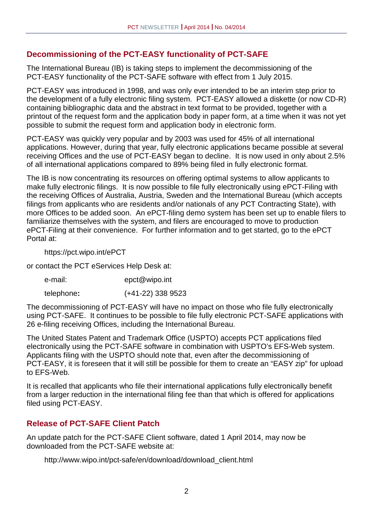# **Decommissioning of the PCT-EASY functionality of PCT-SAFE**

The International Bureau (IB) is taking steps to implement the decommissioning of the PCT-EASY functionality of the PCT-SAFE software with effect from 1 July 2015.

PCT-EASY was introduced in 1998, and was only ever intended to be an interim step prior to the development of a fully electronic filing system. PCT-EASY allowed a diskette (or now CD-R) containing bibliographic data and the abstract in text format to be provided, together with a printout of the request form and the application body in paper form, at a time when it was not yet possible to submit the request form and application body in electronic form.

PCT-EASY was quickly very popular and by 2003 was used for 45% of all international applications. However, during that year, fully electronic applications became possible at several receiving Offices and the use of PCT-EASY began to decline. It is now used in only about 2.5% of all international applications compared to 89% being filed in fully electronic format.

The IB is now concentrating its resources on offering optimal systems to allow applicants to make fully electronic filings. It is now possible to file fully electronically using ePCT-Filing with the receiving Offices of Australia, Austria, Sweden and the International Bureau (which accepts filings from applicants who are residents and/or nationals of any PCT Contracting State), with more Offices to be added soon. An ePCT-filing demo system has been set up to enable filers to familiarize themselves with the system, and filers are encouraged to move to production ePCT-Filing at their convenience. For further information and to get started, go to the ePCT Portal at:

https://pct.wipo.int/ePCT

or contact the PCT eServices Help Desk at:

e-mail: epct@wipo.int

telephone**:** (+41-22) 338 9523

The decommissioning of PCT-EASY will have no impact on those who file fully electronically using PCT-SAFE. It continues to be possible to file fully electronic PCT-SAFE applications with 26 e-filing receiving Offices, including the International Bureau.

The United States Patent and Trademark Office (USPTO) accepts PCT applications filed electronically using the PCT-SAFE software in combination with USPTO's EFS-Web system. Applicants filing with the USPTO should note that, even after the decommissioning of PCT-EASY, it is foreseen that it will still be possible for them to create an "EASY zip" for upload to EFS-Web.

It is recalled that applicants who file their international applications fully electronically benefit from a larger reduction in the international filing fee than that which is offered for applications filed using PCT-EASY.

# **Release of PCT-SAFE Client Patch**

An update patch for the PCT-SAFE Client software, dated 1 April 2014, may now be downloaded from the PCT-SAFE website at:

http://www.wipo.int/pct-safe/en/download/download\_client.html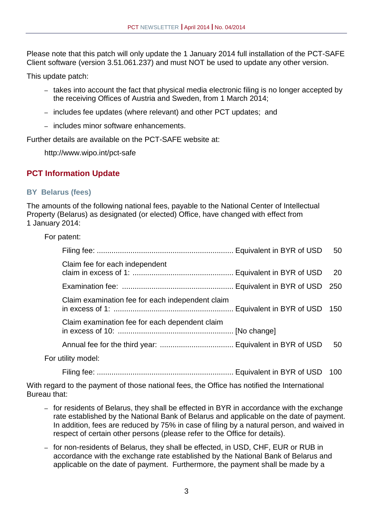Please note that this patch will only update the 1 January 2014 full installation of the PCT-SAFE Client software (version 3.51.061.237) and must NOT be used to update any other version.

This update patch:

- takes into account the fact that physical media electronic filing is no longer accepted by the receiving Offices of Austria and Sweden, from 1 March 2014;
- includes fee updates (where relevant) and other PCT updates; and
- includes minor software enhancements.

Further details are available on the PCT-SAFE website at:

http://www.wipo.int/pct-safe

# **PCT Information Update**

#### **BY Belarus (fees)**

The amounts of the following national fees, payable to the National Center of Intellectual Property (Belarus) as designated (or elected) Office, have changed with effect from 1 January 2014:

|  | For patent: |
|--|-------------|
|--|-------------|

|                                                  | 50 |
|--------------------------------------------------|----|
| Claim fee for each independent                   | 20 |
|                                                  |    |
| Claim examination fee for each independent claim |    |
| Claim examination fee for each dependent claim   |    |
|                                                  | 50 |
| For utility model:                               |    |

Filing fee: ................................................................. Equivalent in BYR of USD 100

With regard to the payment of those national fees, the Office has notified the International Bureau that:

- for residents of Belarus, they shall be effected in BYR in accordance with the exchange rate established by the National Bank of Belarus and applicable on the date of payment. In addition, fees are reduced by 75% in case of filing by a natural person, and waived in respect of certain other persons (please refer to the Office for details).
- for non-residents of Belarus, they shall be effected, in USD, CHF, EUR or RUB in accordance with the exchange rate established by the National Bank of Belarus and applicable on the date of payment. Furthermore, the payment shall be made by a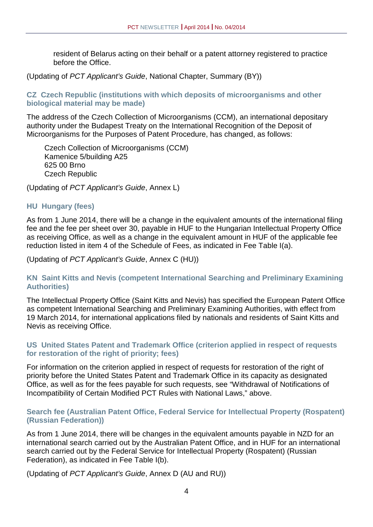resident of Belarus acting on their behalf or a patent attorney registered to practice before the Office.

(Updating of *PCT Applicant's Guide*, National Chapter, Summary (BY))

#### **CZ Czech Republic (institutions with which deposits of microorganisms and other biological material may be made)**

The address of the Czech Collection of Microorganisms (CCM), an international depositary authority under the Budapest Treaty on the International Recognition of the Deposit of Microorganisms for the Purposes of Patent Procedure, has changed, as follows:

Czech Collection of Microorganisms (CCM) Kamenice 5/building A25 625 00 Brno Czech Republic

(Updating of *PCT Applicant's Guide*, Annex L)

#### **HU Hungary (fees)**

As from 1 June 2014, there will be a change in the equivalent amounts of the international filing fee and the fee per sheet over 30, payable in HUF to the Hungarian Intellectual Property Office as receiving Office, as well as a change in the equivalent amount in HUF of the applicable fee reduction listed in item 4 of the Schedule of Fees, as indicated in Fee Table I(a).

(Updating of *PCT Applicant's Guide*, Annex C (HU))

#### **KN Saint Kitts and Nevis (competent International Searching and Preliminary Examining Authorities)**

The Intellectual Property Office (Saint Kitts and Nevis) has specified the European Patent Office as competent International Searching and Preliminary Examining Authorities, with effect from 19 March 2014, for international applications filed by nationals and residents of Saint Kitts and Nevis as receiving Office.

#### **US United States Patent and Trademark Office (criterion applied in respect of requests for restoration of the right of priority; fees)**

For information on the criterion applied in respect of requests for restoration of the right of priority before the United States Patent and Trademark Office in its capacity as designated Office, as well as for the fees payable for such requests, see "Withdrawal of Notifications of Incompatibility of Certain Modified PCT Rules with National Laws," above.

#### **Search fee (Australian Patent Office, Federal Service for Intellectual Property (Rospatent) (Russian Federation))**

As from 1 June 2014, there will be changes in the equivalent amounts payable in NZD for an international search carried out by the Australian Patent Office, and in HUF for an international search carried out by the Federal Service for Intellectual Property (Rospatent) (Russian Federation), as indicated in Fee Table I(b).

(Updating of *PCT Applicant's Guide*, Annex D (AU and RU))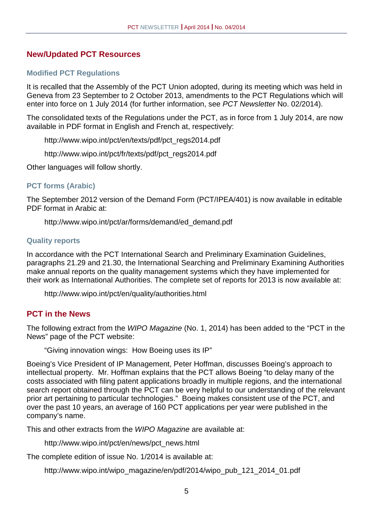# **New/Updated PCT Resources**

#### **Modified PCT Regulations**

It is recalled that the Assembly of the PCT Union adopted, during its meeting which was held in Geneva from 23 September to 2 October 2013, amendments to the PCT Regulations which will enter into force on 1 July 2014 (for further information, see *PCT Newsletter* No. 02/2014).

The consolidated texts of the Regulations under the PCT, as in force from 1 July 2014, are now available in PDF format in English and French at, respectively:

http://www.wipo.int/pct/en/texts/pdf/pct\_regs2014.pdf

http://www.wipo.int/pct/fr/texts/pdf/pct\_regs2014.pdf

Other languages will follow shortly.

#### **PCT forms (Arabic)**

The September 2012 version of the Demand Form (PCT/IPEA/401) is now available in editable PDF format in Arabic at:

http://www.wipo.int/pct/ar/forms/demand/ed\_demand.pdf

#### **Quality reports**

In accordance with the PCT International Search and Preliminary Examination Guidelines, paragraphs 21.29 and 21.30, the International Searching and Preliminary Examining Authorities make annual reports on the quality management systems which they have implemented for their work as International Authorities. The complete set of reports for 2013 is now available at:

http://www.wipo.int/pct/en/quality/authorities.html

#### **PCT in the News**

The following extract from the *WIPO Magazine* (No. 1, 2014) has been added to the "PCT in the News" page of the PCT website:

"Giving innovation wings: How Boeing uses its IP"

Boeing's Vice President of IP Management, Peter Hoffman, discusses Boeing's approach to intellectual property. Mr. Hoffman explains that the PCT allows Boeing "to delay many of the costs associated with filing patent applications broadly in multiple regions, and the international search report obtained through the PCT can be very helpful to our understanding of the relevant prior art pertaining to particular technologies." Boeing makes consistent use of the PCT, and over the past 10 years, an average of 160 PCT applications per year were published in the company's name.

This and other extracts from the *WIPO Magazine* are available at:

http://www.wipo.int/pct/en/news/pct\_news.html

The complete edition of issue No. 1/2014 is available at:

http://www.wipo.int/wipo\_magazine/en/pdf/2014/wipo\_pub\_121\_2014\_01.pdf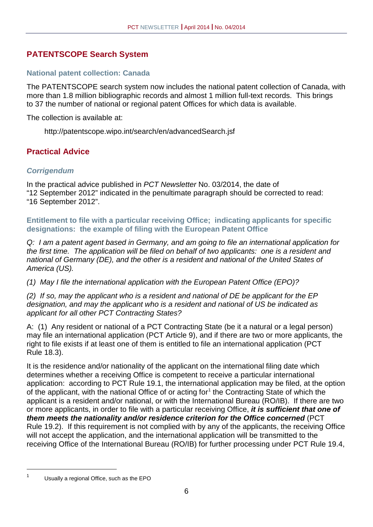# **PATENTSCOPE Search System**

#### **National patent collection: Canada**

The PATENTSCOPE search system now includes the national patent collection of Canada, with more than 1.8 million bibliographic records and almost 1 million full-text records. This brings to 37 the number of national or regional patent Offices for which data is available.

The collection is available at:

http://patentscope.wipo.int/search/en/advancedSearch.jsf

# **Practical Advice**

#### *Corrigendum*

In the practical advice published in *PCT Newsletter* No. 03/2014, the date of "12 September 2012" indicated in the penultimate paragraph should be corrected to read: "16 September 2012".

**Entitlement to file with a particular receiving Office; indicating applicants for specific designations: the example of filing with the European Patent Office**

*Q: I am a patent agent based in Germany, and am going to file an international application for the first time. The application will be filed on behalf of two applicants: one is a resident and national of Germany (DE), and the other is a resident and national of the United States of America (US).* 

*(1) May I file the international application with the European Patent Office (EPO)?* 

*(2) If so, may the applicant who is a resident and national of DE be applicant for the EP designation, and may the applicant who is a resident and national of US be indicated as applicant for all other PCT Contracting States?* 

A: (1) Any resident or national of a PCT Contracting State (be it a natural or a legal person) may file an international application (PCT Article 9), and if there are two or more applicants, the right to file exists if at least one of them is entitled to file an international application (PCT Rule 18.3).

It is the residence and/or nationality of the applicant on the international filing date which determines whether a receiving Office is competent to receive a particular international application: according to PCT Rule 19.1, the international application may be filed, at the option of the applicant, with the national Office of or acting for<sup>[1](#page-17-0)</sup> the Contracting State of which the applicant is a resident and/or national, or with the International Bureau (RO/IB). If there are two or more applicants, in order to file with a particular receiving Office, *it is sufficient that one of them meets the nationality and/or residence criterion for the Office concerned* (PCT Rule 19.2). If this requirement is not complied with by any of the applicants, the receiving Office will not accept the application, and the international application will be transmitted to the receiving Office of the International Bureau (RO/IB) for further processing under PCT Rule 19.4,

<span id="page-5-0"></span>

<sup>&</sup>lt;sup>1</sup> Usually a regional Office, such as the EPO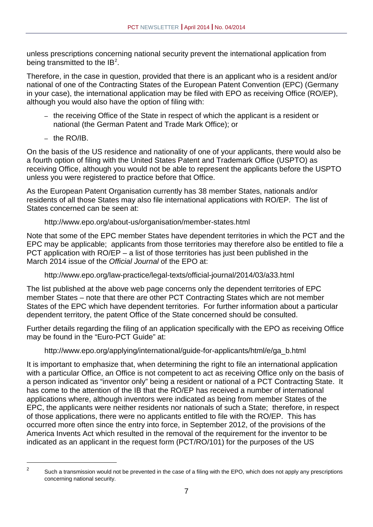unless prescriptions concerning national security prevent the international application from being transmitted to the IB<sup>[2](#page-5-0)</sup>.

Therefore, in the case in question, provided that there is an applicant who is a resident and/or national of one of the Contracting States of the European Patent Convention (EPC) (Germany in your case), the international application may be filed with EPO as receiving Office (RO/EP), although you would also have the option of filing with:

- the receiving Office of the State in respect of which the applicant is a resident or national (the German Patent and Trade Mark Office); or
- the RO/IB.

On the basis of the US residence and nationality of one of your applicants, there would also be a fourth option of filing with the United States Patent and Trademark Office (USPTO) as receiving Office, although you would not be able to represent the applicants before the USPTO unless you were registered to practice before that Office.

As the European Patent Organisation currently has 38 member States, nationals and/or residents of all those States may also file international applications with RO/EP. The list of States concerned can be seen at:

#### http://www.epo.org/about-us/organisation/member-states.html

Note that some of the EPC member States have dependent territories in which the PCT and the EPC may be applicable; applicants from those territories may therefore also be entitled to file a PCT application with RO/EP – a list of those territories has just been published in the March 2014 issue of the *Official Journal* of the EPO at:

http://www.epo.org/law-practice/legal-texts/official-journal/2014/03/a33.html

The list published at the above web page concerns only the dependent territories of EPC member States – note that there are other PCT Contracting States which are not member States of the EPC which have dependent territories. For further information about a particular dependent territory, the patent Office of the State concerned should be consulted.

Further details regarding the filing of an application specifically with the EPO as receiving Office may be found in the "Euro-PCT Guide" at:

# http://www.epo.org/applying/international/guide-for-applicants/html/e/ga\_b.html

It is important to emphasize that, when determining the right to file an international application with a particular Office, an Office is not competent to act as receiving Office only on the basis of a person indicated as "inventor only" being a resident or national of a PCT Contracting State. It has come to the attention of the IB that the RO/EP has received a number of international applications where, although inventors were indicated as being from member States of the EPC, the applicants were neither residents nor nationals of such a State; therefore, in respect of those applications, there were no applicants entitled to file with the RO/EP. This has occurred more often since the entry into force, in September 2012, of the provisions of the America Invents Act which resulted in the removal of the requirement for the inventor to be indicated as an applicant in the request form (PCT/RO/101) for the purposes of the US

<span id="page-6-0"></span><sup>&</sup>lt;sup>2</sup> Such a transmission would not be prevented in the case of a filing with the EPO, which does not apply any prescriptions concerning national security.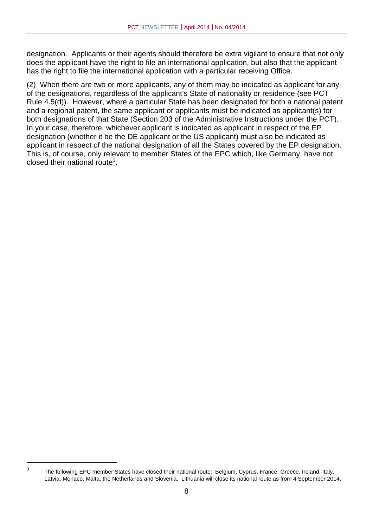designation. Applicants or their agents should therefore be extra vigilant to ensure that not only does the applicant have the right to file an international application, but also that the applicant has the right to file the international application with a particular receiving Office.

(2) When there are two or more applicants, any of them may be indicated as applicant for any of the designations, regardless of the applicant's State of nationality or residence (see PCT Rule 4.5(d)). However, where a particular State has been designated for both a national patent and a regional patent, the same applicant or applicants must be indicated as applicant(s) for both designations of that State (Section 203 of the Administrative Instructions under the PCT). In your case, therefore, whichever applicant is indicated as applicant in respect of the EP designation (whether it be the DE applicant or the US applicant) must also be indicated as applicant in respect of the national designation of all the States covered by the EP designation. This is, of course, only relevant to member States of the EPC which, like Germany, have not closed their national route<sup>[3](#page-6-0)</sup>.

<sup>&</sup>lt;sup>3</sup> The following EPC member States have closed their national route: Belgium, Cyprus, France, Greece, Ireland, Italy, Latvia, Monaco, Malta, the Netherlands and Slovenia. Lithuania will close its national route as from 4 September 2014.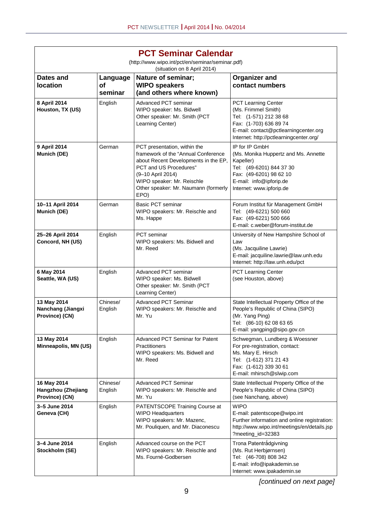| <b>PCT Seminar Calendar</b>                         |                           |                                                                                                                                                                                                                                          |                                                                                                                                                                                    |  |  |  |  |  |  |
|-----------------------------------------------------|---------------------------|------------------------------------------------------------------------------------------------------------------------------------------------------------------------------------------------------------------------------------------|------------------------------------------------------------------------------------------------------------------------------------------------------------------------------------|--|--|--|--|--|--|
|                                                     |                           | (http://www.wipo.int/pct/en/seminar/seminar.pdf)<br>(situation on 8 April 2014)                                                                                                                                                          |                                                                                                                                                                                    |  |  |  |  |  |  |
| Dates and<br><b>location</b>                        | Language<br>οf<br>seminar | Nature of seminar;<br><b>WIPO speakers</b><br>(and others where known)                                                                                                                                                                   | <b>Organizer and</b><br>contact numbers                                                                                                                                            |  |  |  |  |  |  |
| 8 April 2014<br>Houston, TX (US)                    | English                   | <b>Advanced PCT seminar</b><br>WIPO speaker: Ms. Bidwell<br>Other speaker: Mr. Smith (PCT<br>Learning Center)                                                                                                                            | PCT Learning Center<br>(Ms. Frimmel Smith)<br>Tel: (1-571) 212 38 68<br>Fax: (1-703) 636 89 74<br>E-mail: contact@pctlearningcenter.org<br>Internet: http://pctlearningcenter.org/ |  |  |  |  |  |  |
| 9 April 2014<br>Munich (DE)                         | German                    | PCT presentation, within the<br>framework of the "Annual Conference<br>about Recent Developments in the EP,<br>PCT and US Procedures"<br>(9-10 April 2014)<br>WIPO speaker: Mr. Reischle<br>Other speaker: Mr. Naumann (formerly<br>EPO) | IP for IP GmbH<br>(Ms. Monika Huppertz and Ms. Annette<br>Kapeller)<br>Tel: (49-6201) 844 37 30<br>Fax: (49-6201) 98 62 10<br>E-mail: info@ipforip.de<br>Internet: www.ipforip.de  |  |  |  |  |  |  |
| 10-11 April 2014<br>Munich (DE)                     | German                    | <b>Basic PCT seminar</b><br>WIPO speakers: Mr. Reischle and<br>Ms. Happe                                                                                                                                                                 | Forum Institut für Management GmbH<br>Tel: (49-6221) 500 660<br>Fax: (49-6221) 500 666<br>E-mail: c.weber@forum-institut.de                                                        |  |  |  |  |  |  |
| 25-26 April 2014<br>Concord, NH (US)                | English                   | <b>PCT</b> seminar<br>WIPO speakers: Ms. Bidwell and<br>Mr. Reed                                                                                                                                                                         | University of New Hampshire School of<br>Law<br>(Ms. Jacquiline Lawrie)<br>E-mail: jacquiline.lawrie@law.unh.edu<br>Internet: http://law.unh.edu/pct                               |  |  |  |  |  |  |
| 6 May 2014<br>Seattle, WA (US)                      | English                   | <b>Advanced PCT seminar</b><br>WIPO speaker: Ms. Bidwell<br>Other speaker: Mr. Smith (PCT<br>Learning Center)                                                                                                                            | PCT Learning Center<br>(see Houston, above)                                                                                                                                        |  |  |  |  |  |  |
| 13 May 2014<br>Nanchang (Jiangxi<br>Province) (CN)  | Chinese/<br>English       | <b>Advanced PCT Seminar</b><br>WIPO speakers: Mr. Reischle and<br>Mr. Yu                                                                                                                                                                 | State Intellectual Property Office of the<br>People's Republic of China (SIPO)<br>(Mr. Yang Ping)<br>Tel: (86-10) 62 08 63 65<br>E-mail: yangping@sipo.gov.cn                      |  |  |  |  |  |  |
| 13 May 2014<br>Minneapolis, MN (US)                 | English                   | <b>Advanced PCT Seminar for Patent</b><br>Practitioners<br>WIPO speakers: Ms. Bidwell and<br>Mr. Reed                                                                                                                                    | Schwegman, Lundberg & Woessner<br>For pre-registration, contact:<br>Ms. Mary E. Hirsch<br>Tel: (1-612) 371 21 43<br>Fax: (1-612) 339 30 61<br>E-mail: mhirsch@slwip.com            |  |  |  |  |  |  |
| 16 May 2014<br>Hangzhou (Zhejiang<br>Province) (CN) | Chinese/<br>English       | <b>Advanced PCT Seminar</b><br>WIPO speakers: Mr. Reischle and<br>Mr. Yu                                                                                                                                                                 | State Intellectual Property Office of the<br>People's Republic of China (SIPO)<br>(see Nanchang, above)                                                                            |  |  |  |  |  |  |
| 3-5 June 2014<br>Geneva (CH)                        | English                   | PATENTSCOPE Training Course at<br><b>WIPO Headquarters</b><br>WIPO speakers: Mr. Mazenc,<br>Mr. Pouliquen, and Mr. Diaconescu                                                                                                            | <b>WIPO</b><br>E-mail: patentscope@wipo.int<br>Further information and online registration:<br>http://www.wipo.int/meetings/en/details.jsp<br>?meeting_id=32383                    |  |  |  |  |  |  |
| 3-4 June 2014<br>Stockholm (SE)                     | English                   | Advanced course on the PCT<br>WIPO speakers: Mr. Reischle and<br>Ms. Fourné-Godbersen                                                                                                                                                    | Trona Patentrådgivning<br>(Ms. Rut Herbjørnsen)<br>Tel: (46-708) 808 342<br>E-mail: info@ipakademin.se<br>Internet: www.ipakademin.se                                              |  |  |  |  |  |  |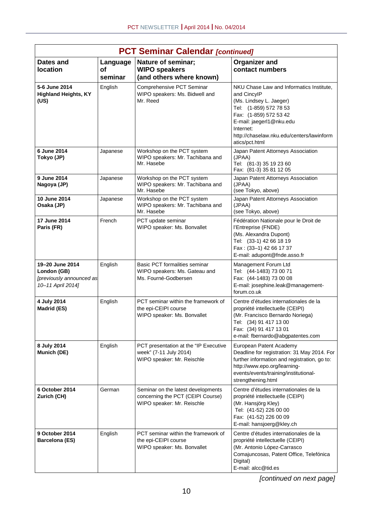|                                                                                 | <b>PCT Seminar Calendar [continued]</b> |                                                                                                       |                                                                                                                                                                                                                                                |  |  |  |  |  |  |  |  |
|---------------------------------------------------------------------------------|-----------------------------------------|-------------------------------------------------------------------------------------------------------|------------------------------------------------------------------------------------------------------------------------------------------------------------------------------------------------------------------------------------------------|--|--|--|--|--|--|--|--|
| Dates and<br>location                                                           | Language<br><b>of</b><br>seminar        | Nature of seminar;<br><b>WIPO speakers</b><br>(and others where known)                                | <b>Organizer and</b><br>contact numbers                                                                                                                                                                                                        |  |  |  |  |  |  |  |  |
| 5-6 June 2014<br><b>Highland Heights, KY</b><br>(US)                            | English                                 | Comprehensive PCT Seminar<br>WIPO speakers: Ms. Bidwell and<br>Mr. Reed                               | NKU Chase Law and Informatics Institute,<br>and CincylP<br>(Ms. Lindsey L. Jaeger)<br>Tel: (1-859) 572 78 53<br>Fax: (1-859) 572 53 42<br>E-mail: jaegerl1@nku.edu<br>Internet:<br>http://chaselaw.nku.edu/centers/lawinform<br>atics/pct.html |  |  |  |  |  |  |  |  |
| 6 June 2014<br>Tokyo (JP)                                                       | Japanese                                | Workshop on the PCT system<br>WIPO speakers: Mr. Tachibana and<br>Mr. Hasebe                          | Japan Patent Attorneys Association<br>(JPAA)<br>Tel: (81-3) 35 19 23 60<br>Fax: (81-3) 35 81 12 05                                                                                                                                             |  |  |  |  |  |  |  |  |
| 9 June 2014<br>Nagoya (JP)                                                      | Japanese                                | Workshop on the PCT system<br>WIPO speakers: Mr. Tachibana and<br>Mr. Hasebe                          | Japan Patent Attorneys Association<br>(JPAA)<br>(see Tokyo, above)                                                                                                                                                                             |  |  |  |  |  |  |  |  |
| 10 June 2014<br>Osaka (JP)                                                      | Japanese                                | Workshop on the PCT system<br>WIPO speakers: Mr. Tachibana and<br>Mr. Hasebe                          | Japan Patent Attorneys Association<br>(JPAA)<br>(see Tokyo, above)                                                                                                                                                                             |  |  |  |  |  |  |  |  |
| 17 June 2014<br>Paris (FR)                                                      | French                                  | PCT update seminar<br>WIPO speaker: Ms. Bonvallet                                                     | Fédération Nationale pour le Droit de<br>l'Entreprise (FNDE)<br>(Ms. Alexandra Dupont)<br>Tel: (33-1) 42 66 18 19<br>Fax: (33-1) 42 66 17 37<br>E-mail: adupont@fnde.asso.fr                                                                   |  |  |  |  |  |  |  |  |
| 19-20 June 2014<br>London (GB)<br>[previously announced as<br>10-11 April 2014] | English                                 | Basic PCT formalities seminar<br>WIPO speakers: Ms. Gateau and<br>Ms. Fourné-Godbersen                | Management Forum Ltd<br>Tel: (44-1483) 73 00 71<br>Fax: (44-1483) 73 00 08<br>E-mail: josephine.leak@management-<br>forum.co.uk                                                                                                                |  |  |  |  |  |  |  |  |
| 4 July 2014<br><b>Madrid (ES)</b>                                               | English                                 | PCT seminar within the framework of<br>the epi-CEIPI course<br>WIPO speaker: Ms. Bonvallet            | Centre d'études internationales de la<br>propriété intellectuelle (CEIPI)<br>(Mr. Francisco Bernardo Noriega)<br>Tel: (34) 91 417 13 00<br>Fax: (34) 91 417 13 01<br>e-mail: fbernardo@abgpatentes.com                                         |  |  |  |  |  |  |  |  |
| 8 July 2014<br>Munich (DE)                                                      | English                                 | PCT presentation at the "IP Executive<br>week" (7-11 July 2014)<br>WIPO speaker: Mr. Reischle         | European Patent Academy<br>Deadline for registration: 31 May 2014. For<br>further information and registration, go to:<br>http://www.epo.org/learning-<br>events/events/training/institutional-<br>strengthening.html                          |  |  |  |  |  |  |  |  |
| 6 October 2014<br>Zurich (CH)                                                   | German                                  | Seminar on the latest developments<br>concerning the PCT (CEIPI Course)<br>WIPO speaker: Mr. Reischle | Centre d'études internationales de la<br>propriété intellectuelle (CEIPI)<br>(Mr. Hansjörg Kley)<br>Tel: (41-52) 226 00 00<br>Fax: (41-52) 226 00 09<br>E-mail: hansjoerg@kley.ch                                                              |  |  |  |  |  |  |  |  |
| 9 October 2014<br><b>Barcelona (ES)</b>                                         | English                                 | PCT seminar within the framework of<br>the epi-CEIPI course<br>WIPO speaker: Ms. Bonvallet            | Centre d'études internationales de la<br>propriété intellectuelle (CEIPI)<br>(Mr. Antonio López-Carrasco<br>Comajuncosas, Patent Office, Telefónica<br>Digital)<br>E-mail: alcc@tid.es                                                         |  |  |  |  |  |  |  |  |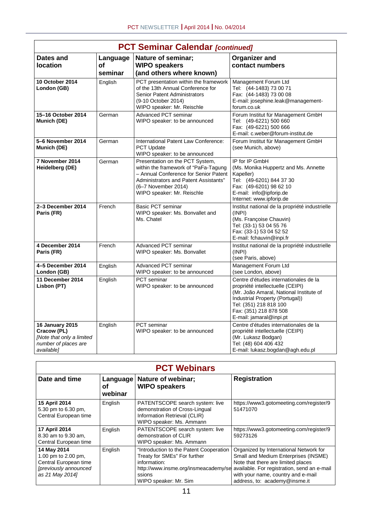|                                                                                                          | <b>PCT Seminar Calendar [continued]</b> |                                                                                                                                                                                                                |                                                                                                                                                                                                                                        |  |  |  |  |  |  |  |
|----------------------------------------------------------------------------------------------------------|-----------------------------------------|----------------------------------------------------------------------------------------------------------------------------------------------------------------------------------------------------------------|----------------------------------------------------------------------------------------------------------------------------------------------------------------------------------------------------------------------------------------|--|--|--|--|--|--|--|
| Dates and<br><b>location</b>                                                                             | Language<br><b>of</b><br>seminar        | Nature of seminar;<br><b>WIPO speakers</b><br>(and others where known)                                                                                                                                         | <b>Organizer and</b><br>contact numbers                                                                                                                                                                                                |  |  |  |  |  |  |  |
| <b>10 October 2014</b><br>London (GB)                                                                    | English                                 | PCT presentation within the framework<br>of the 13th Annual Conference for<br><b>Senior Patent Administrators</b><br>(9-10 October 2014)<br>WIPO speaker: Mr. Reischle                                         | Management Forum Ltd<br>Tel: (44-1483) 73 00 71<br>Fax: (44-1483) 73 00 08<br>E-mail: josephine.leak@management-<br>forum.co.uk                                                                                                        |  |  |  |  |  |  |  |
| 15-16 October 2014<br>Munich (DE)                                                                        | German                                  | Advanced PCT seminar<br>WIPO speaker: to be announced                                                                                                                                                          | Forum Institut für Management GmbH<br>Tel: (49-6221) 500 660<br>Fax: (49-6221) 500 666<br>E-mail: c.weber@forum-institut.de                                                                                                            |  |  |  |  |  |  |  |
| 5-6 November 2014<br>Munich (DE)                                                                         | German                                  | International Patent Law Conference:<br>PCT Update<br>WIPO speaker: to be announced                                                                                                                            | Forum Institut für Management GmbH<br>(see Munich, above)                                                                                                                                                                              |  |  |  |  |  |  |  |
| 7 November 2014<br>Heidelberg (DE)                                                                       | German                                  | Presentation on the PCT System,<br>within the framework of "PaFa-Tagung<br>- Annual Conference for Senior Patent<br>Administrators and Patent Assistants"<br>(6-7 November 2014)<br>WIPO speaker: Mr. Reischle | IP for IP GmbH<br>(Ms. Monika Huppertz and Ms. Annette)<br>Kapeller)<br>Tel: (49-6201) 844 37 30<br>Fax: (49-6201) 98 62 10<br>E-mail: info@ipforip.de<br>Internet: www.ipforip.de                                                     |  |  |  |  |  |  |  |
| 2-3 December 2014<br>Paris (FR)                                                                          | French                                  | <b>Basic PCT seminar</b><br>WIPO speaker: Ms. Bonvallet and<br>Ms. Chatel                                                                                                                                      | Institut national de la propriété industrielle<br>(INPI)<br>(Ms. Françoise Chauvin)<br>Tel: (33-1) 53 04 55 76<br>Fax: (33-1) 53 04 52 52<br>E-mail: fchauvin@inpi.fr                                                                  |  |  |  |  |  |  |  |
| 4 December 2014<br>Paris (FR)                                                                            | French                                  | Advanced PCT seminar<br>WIPO speaker: Ms. Bonvallet                                                                                                                                                            | Institut national de la propriété industrielle<br>(INPI)<br>(see Paris, above)                                                                                                                                                         |  |  |  |  |  |  |  |
| 4-5 December 2014<br>London (GB)                                                                         | English                                 | <b>Advanced PCT seminar</b><br>WIPO speaker: to be announced                                                                                                                                                   | Management Forum Ltd<br>(see London, above)                                                                                                                                                                                            |  |  |  |  |  |  |  |
| 11 December 2014<br>Lisbon (PT)                                                                          | English                                 | <b>PCT</b> seminar<br>WIPO speaker: to be announced                                                                                                                                                            | Centre d'études internationales de la<br>propriété intellectuelle (CEIPI)<br>(Mr. João Amaral, National Institute of<br>Industrial Property (Portugal))<br>Tel: (351) 218 818 100<br>Fax: (351) 218 878 508<br>E-mail: jamaral@inpi.pt |  |  |  |  |  |  |  |
| <b>16 January 2015</b><br>Cracow (PL)<br>[Note that only a limited<br>number of places are<br>available] | English                                 | <b>PCT</b> seminar<br>WIPO speaker: to be announced                                                                                                                                                            | Centre d'études internationales de la<br>propriété intellectuelle (CEIPI)<br>(Mr. Lukasz Bodgan)<br>Tel: (48) 604 406 432<br>E-mail: lukasz.bogdan@agh.edu.pl                                                                          |  |  |  |  |  |  |  |

| <b>PCT Webinars</b>                                                                                     |                           |                                                                                                                                                                    |                                                                                                                                                                                                                                            |  |  |  |  |  |
|---------------------------------------------------------------------------------------------------------|---------------------------|--------------------------------------------------------------------------------------------------------------------------------------------------------------------|--------------------------------------------------------------------------------------------------------------------------------------------------------------------------------------------------------------------------------------------|--|--|--|--|--|
| Date and time                                                                                           | Language<br>οf<br>webinar | Nature of webinar;<br><b>WIPO speakers</b>                                                                                                                         | <b>Registration</b>                                                                                                                                                                                                                        |  |  |  |  |  |
| 15 April 2014<br>5.30 pm to 6.30 pm,<br>Central European time                                           | English                   | PATENTSCOPE search system: live<br>demonstration of Cross-Lingual<br>Information Retrieval (CLIR)<br>WIPO speaker: Ms. Ammann                                      | https://www3.gotomeeting.com/register/9<br>51471070                                                                                                                                                                                        |  |  |  |  |  |
| 17 April 2014<br>8.30 am to 9.30 am,<br>Central European time                                           | English                   | PATENTSCOPE search system: live<br>demonstration of CLIR<br>WIPO speaker: Ms. Ammann                                                                               | https://www3.gotomeeting.com/register/9<br>59273126                                                                                                                                                                                        |  |  |  |  |  |
| 14 May 2014<br>1.00 pm to 2.00 pm,<br>Central European time<br>[previously announced<br>as 21 May 2014] | English                   | "Introduction to the Patent Cooperation<br>Treaty for SMEs" For further<br>information:<br>http://www.insme.org/insmeacademy/se<br>ssions<br>WIPO speaker: Mr. Sim | Organized by International Network for<br>Small and Medium Enterprises (INSME)<br>Note that there are limited places<br>available. For registration, send an e-mail<br>with your name, country and e-mail<br>address, to: academy@insme.it |  |  |  |  |  |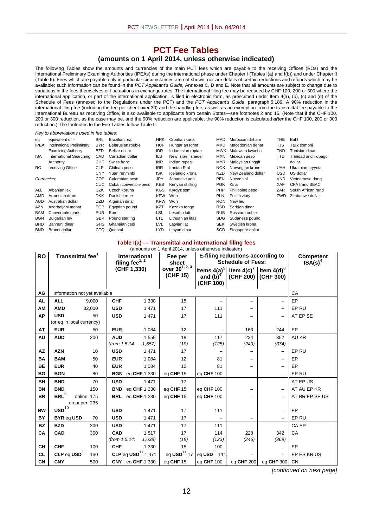#### **PCT Fee Tables**

#### **(amounts on 1 April 2014, unless otherwise indicated)**

The following Tables show the amounts and currencies of the main PCT fees which are payable to the receiving Offices (ROs) and the International Preliminary Examining Authorities (IPEAs) during the international phase under Chapter I (Tables I(a) and I(b)) and under Chapter II (Table II). Fees which are payable only in particular circumstances are not shown; nor are details of certain reductions and refunds which may be available; such information can be found in the *PCT Applicant's Guide,* Annexes C, D and E. Note that all amounts are subject to change due to variations in the fees themselves or fluctuations in exchange rates. The international filing fee may be reduced by CHF 100, 200 or 300 where the international application, or part of the international application, is filed in electronic form, as prescribed under Item 4(a), (b), (c) and (d) of the Schedule of Fees (annexed to the Regulations under the PCT) and the *PCT Applicant's Guide*, paragraph 5.189. A 90% reduction in the international filing fee (including the fee per sheet over 30) and the handling fee, as well as an exemption from the transmittal fee payable to the International Bureau as receiving Office, is also available to applicants from certain States—see footnotes 2 and 15. (Note that if the CHF 100, 200 or 300 reduction, as the case may be, and the 90% reduction are applicable, the 90% reduction is calculated *after* the CHF 100, 200 or 300 reduction.) The footnotes to the Fee Tables follow Table II.

#### *Key to abbreviations used in fee tables:*

| eq          | equivalent of $-$                | <b>BRL</b> | Brazilian real         | <b>HRK</b> | Croatian kuna      | MAD        | Moroccan dirham     | THB        | Baht                       |
|-------------|----------------------------------|------------|------------------------|------------|--------------------|------------|---------------------|------------|----------------------------|
| <b>IPEA</b> | <b>International Preliminary</b> | <b>BYR</b> | Belarusian rouble      | <b>HUF</b> | Hungarian forint   | MKD        | Macedonian denar    | TJS        | Tajik somoni               |
|             | <b>Examining Authority</b>       | <b>BZD</b> | Belize dollar          | <b>IDR</b> | Indonesian rupiah  |            | MWK Malawian kwacha | TND        | Tunisian dinar             |
| <b>ISA</b>  | <b>International Searching</b>   | CAD        | Canadian dollar        | <b>ILS</b> | New Israeli shegel | <b>MXN</b> | Mexican peso        | TTD        | <b>Trinidad and Tobago</b> |
|             | Authority                        | <b>CHF</b> | Swiss franc            | <b>INR</b> | Indian rupee       | <b>MYR</b> | Malaysian ringgit   |            | dollar                     |
| <b>RO</b>   | receiving Office                 | <b>CLP</b> | Chilean peso           | <b>IRR</b> | Iranian Rial       | <b>NOK</b> | Norwegian krone     | <b>UAH</b> | Ukrainian hryvnia          |
|             |                                  | <b>CNY</b> | Yuan renminbi          | <b>ISK</b> | Icelandic krona    | <b>NZD</b> | New Zealand dollar  | <b>USD</b> | US dollar                  |
| Currencies: |                                  | <b>COP</b> | Colombian peso         | <b>JPY</b> | Japanese yen       | <b>PEN</b> | Nuevo sol           | <b>VND</b> | Vietnamese dong            |
|             |                                  | CUC.       | Cuban convertible peso | <b>KES</b> | Kenyan shilling    | <b>PGK</b> | Kina                | <b>XAF</b> | CFA franc BEAC             |
| ALL         | Albanian lek                     | CZK        | Czech koruna           | <b>KGS</b> | Kyrgyz som         | PHP        | Philippine peso     | ZAR.       | South African rand         |
| AMD         | Armenian dram                    | <b>DKK</b> | Danish krone           | <b>KPW</b> | Won                | <b>PLN</b> | Polish zloty        | ZWD        | Zimbabwe dollar            |
| AUD.        | Australian dollar                | <b>DZD</b> | Algerian dinar         | <b>KRW</b> | Won                | <b>RON</b> | New leu             |            |                            |
| AZN         | Azerbaijani manat                | EGP        | Eqyptian pound         | <b>KZT</b> | Kazakh tenge       | <b>RSD</b> | Serbian dinar       |            |                            |
| <b>BAM</b>  | Convertible mark                 | <b>EUR</b> | Euro                   | LSL        | Lesotho loti       | <b>RUB</b> | Russian rouble      |            |                            |
| <b>BGN</b>  | <b>Bulgarian lev</b>             | <b>GBP</b> | Pound sterling         | LTL        | Lithuanian litas   | <b>SDG</b> | Sudanese pound      |            |                            |
| <b>BHD</b>  | Bahraini dinar                   | <b>GHS</b> | Ghanaian cedi          | LVL        | Latvian lat        | <b>SEK</b> | Swedish krona       |            |                            |
| <b>BND</b>  | Brunei dollar                    | <b>GTQ</b> | Quetzal                | <b>LYD</b> | Libvan dinar       | SGD        | Singapore dollar    |            |                            |

#### **Table I(a) — Transmittal and international filing fees**

|           | (amounts on 1 April 2014, unless otherwise indicated) |             |                           |                                |                                        |                                                  |                                                              |                          |                         |
|-----------|-------------------------------------------------------|-------------|---------------------------|--------------------------------|----------------------------------------|--------------------------------------------------|--------------------------------------------------------------|--------------------------|-------------------------|
| <b>RO</b> | Transmittal fee <sup>1</sup>                          |             | filing fee <sup>1,2</sup> | International                  | Fee per<br>sheet                       |                                                  | E-filing reductions according to<br><b>Schedule of Fees:</b> |                          | Competent<br>$ISA(s)^4$ |
|           |                                                       |             | (CHF 1,330)               |                                | over 30 <sup>1, 2, 3</sup><br>(CHF 15) | Items $4(a)^5$<br>and $(b)^6$<br>(CHF 100)       | Item $4(c)^{7}$<br>(CHF 200) (CHF 300)                       | Item $4(d)^8$            |                         |
| AG        | Information not yet available                         |             |                           |                                |                                        |                                                  |                                                              |                          | CA                      |
| <b>AL</b> | <b>ALL</b>                                            | 9,000       | <b>CHF</b>                | 1,330                          | 15                                     | $\qquad \qquad -$                                | —                                                            | $\qquad \qquad -$        | EP                      |
| AM        | <b>AMD</b>                                            | 32,000      | <b>USD</b>                | 1,471                          | 17                                     | 111                                              |                                                              |                          | EP RU                   |
| <b>AP</b> | <b>USD</b>                                            | 50          | <b>USD</b>                | 1,471                          | 17                                     | 111                                              | —                                                            |                          | AT EP SE                |
|           | (or eq in local currency)                             |             |                           |                                |                                        |                                                  |                                                              |                          |                         |
| <b>AT</b> | <b>EUR</b>                                            | 50          | <b>EUR</b>                | 1,084                          | 12                                     | $\qquad \qquad -$                                | 163                                                          | 244                      | EP                      |
| AU        | <b>AUD</b>                                            | 200         | <b>AUD</b>                | 1,559                          | 18                                     | 117                                              | 234                                                          | 352                      | AU KR                   |
|           |                                                       |             | (from 1.5.14:             | 1,657                          | (19)                                   | (125)                                            | (249)                                                        | (374)                    |                         |
| AZ        | <b>AZN</b>                                            | 10          | <b>USD</b>                | 1,471                          | 17                                     |                                                  |                                                              | $\overline{\phantom{0}}$ | EP RU                   |
| BA        | <b>BAM</b>                                            | 50          | <b>EUR</b>                | 1,084                          | 12                                     | 81                                               |                                                              |                          | EP                      |
| <b>BE</b> | <b>EUR</b>                                            | 40          | <b>EUR</b>                | 1,084                          | 12                                     | 81                                               | $\overline{\phantom{0}}$                                     | $\overline{\phantom{0}}$ | EP                      |
| <b>BG</b> | <b>BGN</b>                                            | 80          | <b>BGN</b>                | eq CHF 1,330                   | eq CHF 15                              | eg CHF 100                                       | $\overline{\phantom{0}}$                                     | $\qquad \qquad -$        | EP RU                   |
| <b>BH</b> | <b>BHD</b>                                            | 70          | <b>USD</b>                | 1,471                          | 17                                     |                                                  | $\overline{\phantom{0}}$                                     | $\overline{a}$           | AT EP US                |
| <b>BN</b> | <b>BND</b>                                            | 150         | <b>BND</b>                | eq CHF 1,330                   | eq CHF 15                              | eq CHF 100                                       | —                                                            | $\overline{\phantom{0}}$ | AT AU EP KR             |
| <b>BR</b> | BRL <sup>9</sup>                                      | online: 175 | <b>BRL</b>                | eq CHF 1,330                   | eq CHF 15                              | eq CHF 100                                       | —                                                            | $\overline{\phantom{m}}$ | AT BR EP SE US          |
|           | on paper: 235                                         |             |                           |                                |                                        |                                                  |                                                              |                          |                         |
| <b>BW</b> | $\text{USD}^{10}$                                     |             | <b>USD</b>                | 1,471                          | 17                                     | 111                                              | $\overline{\phantom{0}}$                                     | $\qquad \qquad -$        | EP                      |
| <b>BY</b> | BYR eq USD                                            | 70          | <b>USD</b>                | 1,471                          | 17                                     | $\overline{\phantom{0}}$                         | $\qquad \qquad -$                                            | $\qquad \qquad -$        | EP RU                   |
| <b>BZ</b> | <b>BZD</b>                                            | 300         | <b>USD</b>                | 1,471                          | 17                                     | 111                                              | $\overline{\phantom{0}}$                                     | $\overline{\phantom{0}}$ | CA EP                   |
| CA        | <b>CAD</b>                                            | 300         | CAD                       | 1,517                          | 17                                     | 114                                              | 228                                                          | 342                      | CA                      |
|           |                                                       |             | (from 1.5.14:             | 1,638                          | (18)                                   | (123)                                            | (246)                                                        | (369)                    |                         |
| <b>CH</b> | <b>CHF</b>                                            | 100         | <b>CHF</b>                | 1,330                          | 15                                     | 100                                              |                                                              |                          | EP                      |
| <b>CL</b> | CLP eq $\text{USD}^{11}$                              | 130         |                           | CLP eq $\text{USD}^{11}$ 1,471 |                                        | eq USD <sup>11</sup> 17 eq USD <sup>11</sup> 111 |                                                              |                          | EP ES KR US             |
| CN        | <b>CNY</b>                                            | 500         |                           | <b>CNY</b> eq CHF 1,330        | eq CHF 15                              | eq CHF 100                                       | eq CHF 200                                                   | eq CHF 300               | CN                      |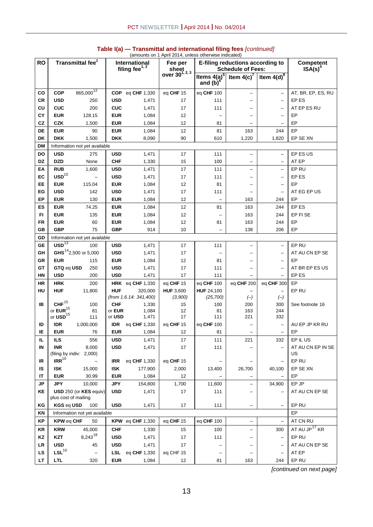|                              |                                         |                                  | (amounts on 1 April 2014, unless otherwise indicated) |                                    |                            |                               |                                                              |                          |                           |
|------------------------------|-----------------------------------------|----------------------------------|-------------------------------------------------------|------------------------------------|----------------------------|-------------------------------|--------------------------------------------------------------|--------------------------|---------------------------|
| <b>RO</b>                    |                                         | Transmittal fee <sup>1</sup>     |                                                       | International<br>filing fee $1, 2$ | Fee per<br>sheet           |                               | E-filing reductions according to<br><b>Schedule of Fees:</b> |                          | Competent<br>$ISA(s)^4$   |
|                              |                                         |                                  |                                                       |                                    | over 30 <sup>1, 2, 3</sup> | Items $4(a)^5$<br>and $(b)^6$ | Item $4(c)^7$                                                | Item $4(d)^8$            |                           |
| CO                           | <b>COP</b>                              | 865,000 <sup>12</sup>            | <b>COP</b>                                            | eq CHF 1,330                       | eq CHF 15                  | eq CHF 100                    | $\overline{\phantom{0}}$                                     | $\qquad \qquad -$        | AT, BR, EP, ES, RU        |
| CR                           | <b>USD</b>                              | 250                              | <b>USD</b>                                            | 1,471                              | 17                         | 111                           |                                                              | $\qquad \qquad -$        | EP ES                     |
| CU                           | <b>CUC</b>                              | 200                              | <b>CUC</b>                                            | 1,471                              | 17                         | 111                           |                                                              | $\qquad \qquad -$        | AT EP ES RU               |
| СY                           | <b>EUR</b>                              | 128.15                           | <b>EUR</b>                                            | 1,084                              | 12                         |                               |                                                              | $\qquad \qquad -$        | EP                        |
| CZ                           | <b>CZK</b>                              | 1,500                            | <b>EUR</b>                                            | 1,084                              | 12                         | 81                            |                                                              | —                        | EP                        |
| DE                           | <b>EUR</b>                              | 90                               | <b>EUR</b>                                            | 1,084                              | 12                         | 81                            | 163                                                          | 244                      | EP                        |
| <b>DK</b>                    | <b>DKK</b>                              | 1,500                            | <b>DKK</b>                                            | 8,090                              | 90                         | 610                           | 1,220                                                        | 1,820                    | EP SE XN                  |
| DM                           |                                         | Information not yet available    |                                                       |                                    |                            |                               |                                                              |                          |                           |
| DO                           | <b>USD</b>                              | 275                              | <b>USD</b>                                            | 1,471                              | 17                         | 111                           |                                                              |                          | EP ES US                  |
| <b>DZ</b>                    | <b>DZD</b>                              | None                             | <b>CHF</b>                                            | 1,330                              | 15                         | 100                           |                                                              | $\qquad \qquad -$        | AT EP                     |
| ΕA                           | <b>RUB</b>                              | 1,600                            | <b>USD</b>                                            | 1,471                              | 17                         | 111                           | $\overline{a}$                                               | $\overline{\phantom{0}}$ | EP RU                     |
| EC                           | $\text{USD}^{10}$                       |                                  | <b>USD</b>                                            | 1,471                              | 17                         | 111                           |                                                              | $\overline{\phantom{0}}$ | EP ES                     |
| EE                           | <b>EUR</b>                              | 115.04                           | <b>EUR</b>                                            | 1,084                              | 12                         | 81                            |                                                              | $\overline{\phantom{0}}$ | EP                        |
| EG                           | <b>USD</b>                              | 142                              | <b>USD</b>                                            | 1,471                              | 17                         | 111                           |                                                              | $\overline{\phantom{0}}$ | AT EG EP US               |
| EP                           | <b>EUR</b>                              | 130                              | <b>EUR</b>                                            | 1,084                              | 12                         | $\overline{\phantom{0}}$      | 163                                                          | 244                      | EP                        |
| ES                           | <b>EUR</b>                              | 74.25                            | <b>EUR</b>                                            | 1,084                              | 12                         | 81                            | 163                                                          | 244                      | EP ES                     |
| FI.                          | <b>EUR</b>                              | 135                              | <b>EUR</b>                                            | 1,084                              | 12                         |                               | 163                                                          | 244                      | EP FI SE                  |
| FR                           | <b>EUR</b>                              | 60                               | <b>EUR</b>                                            | 1,084                              | 12                         | 81                            | 163                                                          | 244                      | EP                        |
| GВ                           | <b>GBP</b>                              | 75                               | <b>GBP</b>                                            | 914                                | 10                         |                               | 138                                                          | 206                      | EP                        |
| ${\ensuremath{\mathsf{GD}}}$ |                                         | Information not yet available    |                                                       |                                    |                            |                               |                                                              |                          |                           |
| <b>GE</b>                    | $USD$ <sup>13</sup>                     | 100                              | <b>USD</b>                                            | 1,471                              | 17                         | 111                           |                                                              | $\qquad \qquad -$        | EP RU                     |
| GH                           |                                         | GHS <sup>14</sup> 2,500 or 5,000 | <b>USD</b>                                            | 1,471                              | 17                         |                               |                                                              | $\qquad \qquad -$        | AT AU CN EP SE            |
| <b>GR</b>                    | <b>EUR</b>                              | 115                              | <b>EUR</b>                                            | 1,084                              | 12                         | 81                            |                                                              | $\overline{\phantom{0}}$ | EP                        |
| GT                           | GTQ eq USD                              | 250                              | <b>USD</b>                                            | 1,471                              | 17                         | 111                           |                                                              | $\overline{\phantom{0}}$ | AT BR EP ES US            |
| ΗN                           | <b>USD</b>                              | 200                              | <b>USD</b>                                            | 1,471                              | 17                         | 111                           |                                                              | $\overline{\phantom{0}}$ | EP ES                     |
| HR                           | <b>HRK</b>                              | 200                              |                                                       | HRK eq CHF 1,330                   | eq CHF 15                  | eq CHF 100                    | eq CHF 200                                                   | eq CHF 300               | EP                        |
| HU                           | <b>HUF</b>                              | 11,800                           | <b>HUF</b>                                            | 320,000                            | <b>HUF 3,600</b>           | HUF 24,100                    |                                                              | -                        | EP RU                     |
|                              |                                         |                                  |                                                       | (from 1.6.14: 341,400)             | (3,900)                    | (25, 700)                     | $(-)$                                                        | $(-)$                    |                           |
| IB                           | ${\rm CHF}^{15}$<br>or ${\sf EUR}^{15}$ | 100                              | <b>CHF</b>                                            | 1,330                              | 15                         | 100                           | 200                                                          | 300                      | See footnote 16           |
|                              | or $\text{USD}^{15}$                    | 81<br>111                        | or EUR<br>or USD                                      | 1,084<br>1,471                     | 12<br>17                   | 81<br>111                     | 163<br>221                                                   | 244<br>332               |                           |
| ID                           | <b>IDR</b>                              | 1,000,000                        | <b>IDR</b>                                            | eq CHF 1,330                       | eq CHF 15                  | eq CHF 100                    |                                                              | —                        | AU EP JP KR RU            |
| IΕ                           | <b>EUR</b>                              | 76                               | <b>EUR</b>                                            | 1,084                              | 12                         | 81                            |                                                              | $\qquad \qquad -$        | EP                        |
| IL.                          | <b>ILS</b>                              | 556                              | <b>USD</b>                                            | 1,471                              | 17                         | 111                           | 221                                                          | 332                      | EP IL US                  |
| IN                           | <b>INR</b>                              | 8,000                            | <b>USD</b>                                            | 1,471                              | 17                         | 111                           |                                                              |                          | AT AU CN EP IN SE         |
|                              |                                         | (filing by indiv: 2,000)         |                                                       |                                    |                            |                               |                                                              |                          | US                        |
| IR                           | $IRR$ <sup>10</sup>                     |                                  | <b>IRR</b>                                            | eq CHF 1,330                       | eq CHF 15                  |                               |                                                              | $\qquad \qquad -$        | EP RU                     |
| IS                           | <b>ISK</b>                              | 15,000                           | <b>ISK</b>                                            | 177,900                            | 2,000                      | 13,400                        | 26,700                                                       | 40,100                   | EP SE XN                  |
| ΙT                           | <b>EUR</b>                              | 30.99                            | <b>EUR</b>                                            | 1,084                              | 12                         |                               |                                                              | $\qquad \qquad -$        | EP                        |
| <b>JP</b>                    | <b>JPY</b>                              | 10,000                           | <b>JPY</b>                                            | 154,800                            | 1,700                      | 11,600                        |                                                              | 34,900                   | EP JP                     |
| KE                           | plus cost of mailing                    | USD 250 (or KES equiv)           | <b>USD</b>                                            | 1,471                              | 17                         | 111                           |                                                              |                          | AT AU CN EP SE            |
| ΚG                           | KGS eq USD                              | 100                              | <b>USD</b>                                            | 1,471                              | 17                         | 111                           |                                                              | $\qquad \qquad -$        | EP RU                     |
| ΚN                           |                                         | Information not yet available    |                                                       |                                    |                            |                               |                                                              |                          | EP                        |
| ΚP                           | <b>KPW eq CHF</b>                       | 50                               |                                                       | KPW eq CHF $1,330$                 | eq $CHF$ 15                | eq CHF 100                    | $\overline{\phantom{0}}$                                     | $\overline{\phantom{0}}$ | AT CN RU                  |
| KR                           | <b>KRW</b>                              | 45,000                           | <b>CHF</b>                                            | 1,330                              | 15                         | 100                           | $\overbrace{\phantom{123221111}}$                            | 300                      | AT AU JP <sup>17</sup> KR |
| KZ                           | <b>KZT</b>                              | $8,243^{18}$                     | <b>USD</b>                                            | 1,471                              | 17                         | 111                           |                                                              | $\qquad \qquad -$        | EP RU                     |
| LR                           | <b>USD</b>                              | 45                               | <b>USD</b>                                            | 1,471                              | 17                         |                               | $\overline{\phantom{0}}$                                     | $\qquad \qquad -$        | AT AU CN EP SE            |
| <b>LS</b>                    | $LSL^{10}$                              |                                  | <b>LSL</b>                                            | eq CHF 1,330                       | eq CHF 15                  |                               |                                                              | $\overline{\phantom{0}}$ | AT EP                     |
| LT.                          | <b>LTL</b>                              | 320                              | <b>EUR</b>                                            | 1,084                              | 12                         | 81                            | 163                                                          | 244                      | EP RU                     |
|                              |                                         |                                  |                                                       |                                    |                            |                               |                                                              |                          |                           |

#### **Table I(a) — Transmittal and international filing fees** *[continued]*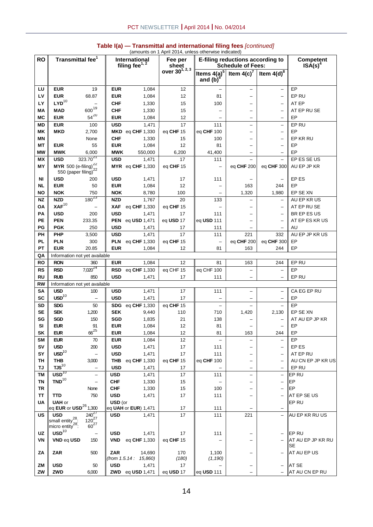| <b>RO</b>       | Transmittal fee <sup>1</sup>                                               |                                                                | International<br>filing fee $1, 2$ |                                  | (amounts on 1 April 2014, unless otherwise indicated)<br>Fee per |                                 | E-filing reductions according to          |                          | Competent               |
|-----------------|----------------------------------------------------------------------------|----------------------------------------------------------------|------------------------------------|----------------------------------|------------------------------------------------------------------|---------------------------------|-------------------------------------------|--------------------------|-------------------------|
|                 |                                                                            |                                                                |                                    |                                  | sheet<br>over 30 <sup>1, 2, 3</sup>                              | Items $4(a)^5$                  | <b>Schedule of Fees:</b><br>Item $4(c)^7$ | Item $4(d)^8$            | $ISA(s)^4$              |
|                 |                                                                            |                                                                |                                    |                                  |                                                                  | and $(b)^6$                     |                                           |                          |                         |
| LU              | <b>EUR</b>                                                                 | 19                                                             | <b>EUR</b>                         | 1,084                            | 12                                                               |                                 | $\overline{\phantom{0}}$                  | $\qquad \qquad -$        | EP                      |
| LV              | <b>EUR</b>                                                                 | 68.87                                                          | <b>EUR</b>                         | 1,084                            | 12                                                               | 81                              |                                           | $\qquad \qquad -$        | EP RU                   |
| LY              | $LYD^{10}$                                                                 |                                                                | <b>CHF</b>                         | 1,330                            | 15                                                               | 100                             |                                           | $\overline{\phantom{0}}$ | AT EP                   |
| MA              | <b>MAD</b>                                                                 | $600^{19}$                                                     | <b>CHF</b>                         | 1,330                            | 15                                                               |                                 |                                           | $\qquad \qquad -$        | AT EP RU SE             |
| МC              | <b>EUR</b>                                                                 | $54^{20}$                                                      | <b>EUR</b>                         | 1,084                            | 12                                                               |                                 |                                           | $\qquad \qquad -$        | EP                      |
| <b>MD</b>       | <b>EUR</b>                                                                 | 100                                                            | <b>USD</b>                         | 1,471                            | 17                                                               | 111                             | $\overline{\phantom{0}}$                  | $\qquad \qquad -$        | EP RU                   |
| MΚ              | <b>MKD</b>                                                                 | 2,700                                                          |                                    | MKD eq CHF 1,330                 | eq CHF 15                                                        | eq <b>CHF</b> 100               | $\overline{\phantom{0}}$                  | $\overline{\phantom{0}}$ | EP                      |
| MN              |                                                                            | None                                                           | <b>CHF</b>                         | 1,330                            | 15                                                               | 100                             |                                           | $\qquad \qquad -$        | EP KR RU                |
| MT              | <b>EUR</b>                                                                 | 55                                                             | <b>EUR</b>                         | 1,084                            | 12                                                               | 81                              |                                           | $\qquad \qquad -$        | EP                      |
| <b>MW</b>       | <b>MWK</b>                                                                 | 6,000                                                          | <b>MWK</b>                         | 550,000                          | 6,200                                                            | 41,400                          |                                           | $\overline{\phantom{0}}$ | EP                      |
| <b>MX</b>       | <b>USD</b>                                                                 | $323.70^{21}$                                                  | <b>USD</b>                         | 1,471                            | 17                                                               | 111                             |                                           |                          | EP ES SE US             |
| MΥ              | <b>MYR</b> 500 (e-filing) $\frac{22}{22}$<br>550 (paper filing)            |                                                                |                                    | MYR eq CHF 1,330                 | eq CHF 15                                                        | $\overline{\phantom{0}}$        | eq CHF 200                                | eq CHF 300               | AU EP JP KR             |
| ΝI              | <b>USD</b>                                                                 | 200                                                            | <b>USD</b>                         | 1,471                            | 17                                                               | 111                             |                                           | $\qquad \qquad -$        | EP ES                   |
| <b>NL</b>       | <b>EUR</b>                                                                 | 50                                                             | <b>EUR</b>                         | 1,084                            | 12                                                               |                                 | 163                                       | 244                      | EP                      |
| NO              | <b>NOK</b>                                                                 | 750                                                            | <b>NOK</b>                         | 8,780                            | 100                                                              |                                 | 1,320                                     | 1,980                    | EP SE XN                |
| <b>NZ</b>       | <b>NZD</b>                                                                 | $180^{23}$                                                     | <b>NZD</b>                         | 1,767                            | 20                                                               | 133                             |                                           |                          | AU EP KR US             |
| ΟA              | $XAF$ <sup>10</sup>                                                        |                                                                | <b>XAF</b>                         | eq CHF 1,330                     | eq CHF 15                                                        |                                 |                                           | $\overline{\phantom{0}}$ | AT EP RUSE              |
| <b>PA</b>       | <b>USD</b>                                                                 | 200                                                            | <b>USD</b>                         | 1,471                            | 17                                                               | 111                             |                                           | $\qquad \qquad -$        | BR EP ES US             |
| <b>PE</b>       | <b>PEN</b>                                                                 | 233.35                                                         | <b>PEN</b>                         | eq <b>USD</b> 1,471              | eq USD 17                                                        | eq <b>USD</b> 111               |                                           | $\qquad \qquad -$        | AT EP ES KR US          |
| PG              | <b>PGK</b>                                                                 | 250                                                            | <b>USD</b>                         | 1,471                            | 17                                                               | 111                             |                                           | $\overline{\phantom{0}}$ | AU                      |
| PH              | <b>PHP</b>                                                                 | 3,500                                                          | <b>USD</b>                         | 1,471                            | 17                                                               | 111                             | 221                                       | 332                      | AU EP JP KR US          |
| <b>PL</b><br>PT | <b>PLN</b><br><b>EUR</b>                                                   | 300                                                            | <b>PLN</b><br><b>EUR</b>           | eq CHF 1,330                     | eq CHF 15<br>12                                                  | 81                              | eq CHF 200<br>163                         | eq CHF 300<br>244        | EP<br>EP                |
| QA              |                                                                            | 20.85                                                          |                                    | 1,084                            |                                                                  |                                 |                                           |                          |                         |
| RO              | Information not yet available<br><b>RON</b>                                | 360                                                            | <b>EUR</b>                         | 1,084                            | 12                                                               | 81                              | 163                                       | 244                      | EP RU                   |
| <b>RS</b>       | <b>RSD</b>                                                                 | $7,020^{24}$                                                   | <b>RSD</b>                         | eq CHF 1,330                     | eq CHF 15                                                        | eq CHF 100                      | $\qquad \qquad -$                         | $\qquad \qquad -$        | EP                      |
| <b>RU</b>       | <b>RUB</b>                                                                 | 850                                                            | <b>USD</b>                         | 1,471                            | 17                                                               | 111                             |                                           |                          | EP RU                   |
| <b>RW</b>       | Information not yet available                                              |                                                                |                                    |                                  |                                                                  |                                 |                                           |                          |                         |
| SA              | <b>USD</b>                                                                 | 100                                                            | <b>USD</b>                         | 1,471                            | 17                                                               | 111                             | $\overline{\phantom{0}}$                  | $\qquad \qquad -$        | CA EG EP RU             |
| <b>SC</b>       | $\text{USD}^{\rm 10}$                                                      |                                                                | <b>USD</b>                         | 1,471                            | 17                                                               |                                 |                                           |                          | EP                      |
| SD              | <b>SDG</b>                                                                 | 50                                                             | SDG                                | eq CHF 1,330                     | eq CHF 15                                                        | $\overline{\phantom{0}}$        |                                           | $\equiv$                 | EP                      |
| <b>SE</b>       | <b>SEK</b>                                                                 | 1,200                                                          | <b>SEK</b>                         | 9,440                            | 110                                                              | 710                             | 1,420                                     | 2,130                    | EP SE XN                |
| SG              | <b>SGD</b>                                                                 | 150                                                            | SGD                                | 1,835                            | 21                                                               | 138                             |                                           | $\overline{\phantom{0}}$ | AT AU EP JP KR          |
| SI              | <b>EUR</b>                                                                 | 91                                                             | <b>EUR</b>                         | 1,084                            | 12                                                               | 81                              |                                           | $\overline{\phantom{0}}$ | EP                      |
| SK              | <b>EUR</b>                                                                 | $66^{25}$                                                      | EUR                                | 1,084                            | 12                                                               | 81                              | 163                                       | 244                      | EP                      |
| SΜ              | <b>EUR</b>                                                                 | 70                                                             | <b>EUR</b>                         | 1,084                            | 12                                                               |                                 | $\overline{\phantom{0}}$                  | $\qquad \qquad -$        | EP                      |
| SV              | <b>USD</b>                                                                 | 200                                                            | <b>USD</b>                         | 1,471                            | 17                                                               | 111                             |                                           | $\overline{\phantom{0}}$ | EP ES                   |
| SY              | $\text{USD}^{10}$                                                          | $\overline{\phantom{0}}$                                       | <b>USD</b>                         | 1,471                            | 17                                                               | 111                             | —                                         | $\qquad \qquad -$        | AT EP RU                |
| TН              | THB                                                                        | 3,000                                                          | THB                                | eq CHF 1,330                     | eq CHF 15                                                        | eq CHF 100                      | —                                         | $\overline{\phantom{m}}$ | AU CN EP JP KR US       |
| TJ              | TJS <sup>10</sup>                                                          | $\overline{\phantom{m}}$                                       | <b>USD</b>                         | 1,471                            | 17                                                               |                                 | —                                         |                          | EP RU                   |
| TМ              | $USD^{10}$<br>TND <sup>10</sup>                                            |                                                                | USD                                | 1,471                            | 17                                                               | 111                             | $\overline{\phantom{0}}$                  | $\qquad \qquad -$        | EP RU                   |
| <b>TN</b><br>TR |                                                                            |                                                                | <b>CHF</b><br><b>CHF</b>           | 1,330<br>1,330                   | 15<br>15                                                         | $\overline{\phantom{a}}$<br>100 | —                                         | $\qquad \qquad -$        | EP<br>EP                |
| <b>TT</b>       | <b>TTD</b>                                                                 | None<br>750                                                    | <b>USD</b>                         | 1,471                            | 17                                                               | 111                             | —<br>—                                    | $\qquad \qquad -$        | AT EP SE US             |
| <b>UA</b>       | <b>UAH</b> or                                                              |                                                                | USD (or                            |                                  |                                                                  |                                 |                                           |                          | EP RU                   |
|                 | eq EUR or $\text{USD}^{26}$ 1,300                                          |                                                                |                                    | eq UAH or EUR) 1,471             | 17                                                               | 111                             |                                           |                          |                         |
| US              | <b>USD</b><br>small entity <sup>28</sup> :<br>migro entity <sup>28</sup> . | $\begin{array}{r} 240^{27} \\ 120^{27} \\ 60^{27} \end{array}$ | <b>USD</b>                         | 1,471                            | 17                                                               | 111                             | 221                                       | $\qquad \qquad -$        | AU EP KR RU US          |
|                 | micro entity <sup>20</sup> :                                               |                                                                |                                    |                                  |                                                                  |                                 |                                           |                          |                         |
| <b>UZ</b>       | $\text{USD}^{\mathrm{10}}$                                                 |                                                                | <b>USD</b>                         | 1,471                            | 17                                                               | 111                             |                                           | $\qquad \qquad -$        | EP RU                   |
| VN              | VND eq USD                                                                 | 150                                                            | <b>VND</b>                         | eq CHF 1,330                     | eq CHF 15                                                        |                                 |                                           |                          | AT AU EP JP KR RU<br>SE |
| ΖA              | ZAR                                                                        | 500                                                            | <b>ZAR</b>                         | 14,690<br>(from 1.5.14 : 15,860) | 170<br>(180)                                                     | 1,100<br>(1, 190)               |                                           |                          | AT AU EP US             |
| ΖM              | <b>USD</b>                                                                 | 50                                                             | <b>USD</b>                         | 1,471                            | 17                                                               |                                 |                                           | $\qquad \qquad -$        | AT SE                   |
| ZW              | ZWD                                                                        | 6,000                                                          |                                    | <b>ZWD</b> eq USD 1,471          | eq USD 17                                                        | eq <b>USD</b> 111               |                                           |                          | AT AU CN EP RU          |

#### **Table I(a) — Transmittal and international filing fees** *[continued]*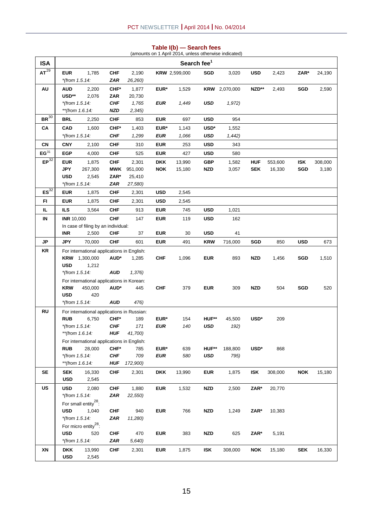| <b>ISA</b>           |                   |                                                      |            |                                            |            | (amounts on 1 April 2014, unless otherwise indicated) | Search fee <sup>1</sup> |                      |            |         |            |         |
|----------------------|-------------------|------------------------------------------------------|------------|--------------------------------------------|------------|-------------------------------------------------------|-------------------------|----------------------|------------|---------|------------|---------|
| AT <sup>29</sup>     | <b>EUR</b>        | 1,785                                                | <b>CHF</b> | 2,190                                      |            | <b>KRW</b> 2,599,000                                  | SGD                     | 3,020                | <b>USD</b> | 2,423   | ZAR*       | 24,190  |
|                      | *(from 1.5.14:    |                                                      | ZAR        | 26,260)                                    |            |                                                       |                         |                      |            |         |            |         |
| AU                   | <b>AUD</b>        | 2,200                                                | CHF*       | 1,877                                      | EUR*       | 1,529                                                 |                         | <b>KRW</b> 2,070,000 | NZD**      | 2,493   | <b>SGD</b> | 2,590   |
|                      | USD**             | 2,076                                                | ZAR        | 20,730                                     |            |                                                       |                         |                      |            |         |            |         |
|                      | *(from $1.5.14$ : |                                                      | <b>CHF</b> | 1,765                                      | EUR        | 1,449                                                 | <b>USD</b>              | 1,972)               |            |         |            |         |
|                      | **(from 1.6.14:   |                                                      | <b>NZD</b> | 2,345)                                     |            |                                                       |                         |                      |            |         |            |         |
| $BR^{30}$            | BRL               | 2,250                                                | CHF        | 853                                        | <b>EUR</b> | 697                                                   | <b>USD</b>              | 954                  |            |         |            |         |
| CA                   | <b>CAD</b>        | 1,600                                                | CHF*       | 1,403                                      | EUR*       | 1,143                                                 | USD*                    | 1,552                |            |         |            |         |
|                      | *(from 1.5.14:    |                                                      | <b>CHF</b> | 1,299                                      | <b>EUR</b> | 1,066                                                 | <b>USD</b>              | 1,442)               |            |         |            |         |
| CN                   | <b>CNY</b>        | 2,100                                                | <b>CHF</b> | 310                                        | <b>EUR</b> | 253                                                   | <b>USD</b>              | 343                  |            |         |            |         |
| $EG^{31}$            | <b>EGP</b>        | 4,000                                                | <b>CHF</b> | 525                                        | <b>EUR</b> | 427                                                   | <b>USD</b>              | 580                  |            |         |            |         |
| $EP^{\overline{32}}$ | <b>EUR</b>        | 1,875                                                | <b>CHF</b> | 2,301                                      | <b>DKK</b> | 13,990                                                | <b>GBP</b>              | 1,582                | <b>HUF</b> | 553,600 | <b>ISK</b> | 308,000 |
|                      | <b>JPY</b>        | 267,300                                              | <b>MWK</b> | 951,000                                    | <b>NOK</b> | 15,180                                                | <b>NZD</b>              | 3,057                | <b>SEK</b> | 16,330  | <b>SGD</b> | 3,180   |
|                      | <b>USD</b>        | 2,545                                                | ZAR*       | 25,410                                     |            |                                                       |                         |                      |            |         |            |         |
|                      | *(from 1.5.14:    |                                                      | <b>ZAR</b> | 27,580)                                    |            |                                                       |                         |                      |            |         |            |         |
| $ES^{32}$            | <b>EUR</b>        | 1,875                                                | CHF        | 2,301                                      | <b>USD</b> | 2,545                                                 |                         |                      |            |         |            |         |
| FI.                  | <b>EUR</b>        | 1,875                                                | <b>CHF</b> | 2,301                                      | <b>USD</b> | 2,545                                                 |                         |                      |            |         |            |         |
| IL.                  | <b>ILS</b>        | 3,564                                                | <b>CHF</b> | 913                                        | <b>EUR</b> | 745                                                   | <b>USD</b>              | 1,021                |            |         |            |         |
| IN                   | <b>INR 10,000</b> |                                                      | <b>CHF</b> | 147                                        | <b>EUR</b> | 119                                                   | <b>USD</b>              | 162                  |            |         |            |         |
|                      |                   | In case of filing by an individual:                  |            |                                            |            |                                                       |                         |                      |            |         |            |         |
|                      | <b>INR</b>        | 2,500                                                | CHF        | 37                                         | <b>EUR</b> | 30                                                    | <b>USD</b>              | 41                   |            |         |            |         |
| JP                   | <b>JPY</b>        | 70,000                                               | <b>CHF</b> | 601                                        | <b>EUR</b> | 491                                                   | <b>KRW</b>              | 716,000              | SGD        | 850     | <b>USD</b> | 673     |
| KR                   |                   | For international applications in English:           |            |                                            |            |                                                       |                         |                      |            |         |            |         |
|                      | <b>USD</b>        | <b>KRW</b> 1,300,000<br>1,212                        | AUD*       | 1,285                                      | <b>CHF</b> | 1,096                                                 | <b>EUR</b>              | 893                  | <b>NZD</b> | 1,456   | <b>SGD</b> | 1,510   |
|                      | *(from $1.5.14$ : |                                                      | <b>AUD</b> | 1,376)                                     |            |                                                       |                         |                      |            |         |            |         |
|                      |                   | For international applications in Korean:            |            |                                            |            |                                                       |                         |                      |            |         |            |         |
|                      | <b>KRW</b>        | 450,000                                              | AUD*       | 445                                        | <b>CHF</b> | 379                                                   | <b>EUR</b>              | 309                  | <b>NZD</b> | 504     | <b>SGD</b> | 520     |
|                      | <b>USD</b>        | 420                                                  |            |                                            |            |                                                       |                         |                      |            |         |            |         |
|                      | *(from $1.5.14$ : |                                                      | AUD        | 476)                                       |            |                                                       |                         |                      |            |         |            |         |
| <b>RU</b>            |                   |                                                      |            | For international applications in Russian: |            |                                                       |                         |                      |            |         |            |         |
|                      | <b>RUB</b>        | 6,750                                                | CHF*       | 189                                        | EUR*       | 154                                                   | HUF**                   | 45,500               | USD*       | 209     |            |         |
|                      | *(from $1.5.14$ : |                                                      | <b>CHF</b> | 171                                        | <b>EUR</b> | 140                                                   | <b>USD</b>              | 192)                 |            |         |            |         |
|                      |                   | **(from 1.6.14:                                      |            | <b>HUF</b> 41,700)                         |            |                                                       |                         |                      |            |         |            |         |
|                      | <b>RUB</b>        | For international applications in English:<br>28,000 | CHF*       | 785                                        | EUR*       | 639                                                   | HUF**                   | 188,800              | USD*       | 868     |            |         |
|                      | *(from 1.5.14:    |                                                      | <b>CHF</b> | 709                                        | <b>EUR</b> | 580                                                   | USD                     | 795)                 |            |         |            |         |
|                      | **(from 1.6.14:   |                                                      | <b>HUF</b> | 172,900)                                   |            |                                                       |                         |                      |            |         |            |         |
| <b>SE</b>            | <b>SEK</b>        | 16,330                                               | <b>CHF</b> | 2,301                                      | <b>DKK</b> | 13,990                                                | <b>EUR</b>              | 1,875                | <b>ISK</b> | 308,000 | <b>NOK</b> | 15,180  |
|                      | <b>USD</b>        | 2,545                                                |            |                                            |            |                                                       |                         |                      |            |         |            |         |
| US                   | <b>USD</b>        | 2,080                                                | <b>CHF</b> | 1,880                                      | <b>EUR</b> | 1,532                                                 | <b>NZD</b>              | 2,500                | ZAR*       | 20,770  |            |         |
|                      | *(from 1.5.14:    |                                                      | <b>ZAR</b> | 22,550)                                    |            |                                                       |                         |                      |            |         |            |         |
|                      |                   | For small entity <sup>28</sup> :                     |            |                                            |            |                                                       |                         |                      |            |         |            |         |
|                      | <b>USD</b>        | 1,040                                                | <b>CHF</b> | 940                                        | <b>EUR</b> | 766                                                   | <b>NZD</b>              | 1,249                | ZAR*       | 10,383  |            |         |
|                      | *(from 1.5.14:    |                                                      | ZAR        | 11,280)                                    |            |                                                       |                         |                      |            |         |            |         |
|                      |                   | For micro entity <sup>28</sup> :                     |            |                                            |            |                                                       |                         |                      |            |         |            |         |
|                      | <b>USD</b>        | 520                                                  | <b>CHF</b> | 470                                        | <b>EUR</b> | 383                                                   | <b>NZD</b>              | 625                  | ZAR*       | 5,191   |            |         |
|                      | *(from 1.5.14:    |                                                      | ZAR        | 5,640)                                     |            |                                                       |                         |                      |            |         |            |         |
| XN                   | <b>DKK</b>        | 13,990                                               | <b>CHF</b> | 2,301                                      | <b>EUR</b> | 1,875                                                 | <b>ISK</b>              | 308,000              | <b>NOK</b> | 15,180  | <b>SEK</b> | 16,330  |
|                      | <b>USD</b>        | 2,545                                                |            |                                            |            |                                                       |                         |                      |            |         |            |         |

# **Table I(b) — Search fees**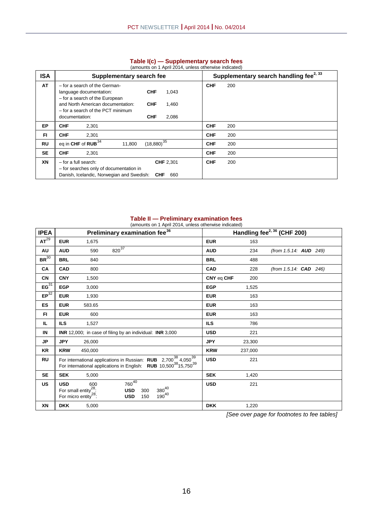|            | (amounts on 1 April 2014, unless otherwise indicated)                                                                                                                                                                                                       |                                                    |
|------------|-------------------------------------------------------------------------------------------------------------------------------------------------------------------------------------------------------------------------------------------------------------|----------------------------------------------------|
| <b>ISA</b> | Supplementary search fee                                                                                                                                                                                                                                    | Supplementary search handling fee <sup>2, 33</sup> |
| AT         | - for a search of the German-<br><b>CHF</b><br>1,043<br>language documentation:<br>- for a search of the European<br>and North American documentation:<br><b>CHF</b><br>1,460<br>- for a search of the PCT minimum<br><b>CHF</b><br>2,086<br>documentation: | <b>CHF</b><br>200                                  |
| <b>EP</b>  | <b>CHF</b><br>2.301                                                                                                                                                                                                                                         | <b>CHF</b><br>200                                  |
| <b>FI</b>  | <b>CHF</b><br>2,301                                                                                                                                                                                                                                         | <b>CHF</b><br>200                                  |
| RU         | $(18,880)^{35}$<br>eq in CHF of $RUB^{34}$<br>11,800                                                                                                                                                                                                        | <b>CHF</b><br>200                                  |
| <b>SE</b>  | <b>CHF</b><br>2.301                                                                                                                                                                                                                                         | <b>CHF</b><br>200                                  |
| XN         | $-$ for a full search:<br><b>CHF 2,301</b><br>- for searches only of documentation in<br>Danish, Icelandic, Norwegian and Swedish:<br><b>CHF</b><br>660                                                                                                     | <b>CHF</b><br>200                                  |

#### **Table I(c) — Supplementary search fees**

#### **Table II — Preliminary examination fees**

| (amounts on 1 April 2014, unless otherwise indicated) |                                                                                                                                                                                             |         |                                        |            |                          |  |                                         |         |                               |  |  |
|-------------------------------------------------------|---------------------------------------------------------------------------------------------------------------------------------------------------------------------------------------------|---------|----------------------------------------|------------|--------------------------|--|-----------------------------------------|---------|-------------------------------|--|--|
| <b>IPEA</b>                                           | Preliminary examination fee <sup>36</sup>                                                                                                                                                   |         |                                        |            |                          |  | Handling fee <sup>2, 36</sup> (CHF 200) |         |                               |  |  |
| AT <sup>29</sup>                                      | <b>EUR</b>                                                                                                                                                                                  | 1,675   |                                        |            |                          |  | <b>EUR</b>                              | 163     |                               |  |  |
| AU                                                    | <b>AUD</b>                                                                                                                                                                                  | 590     | $820^{37}$                             |            |                          |  | <b>AUD</b>                              | 234     | (from 1.5.14: <b>AUD</b> 249) |  |  |
| BR <sup>30</sup>                                      | <b>BRL</b>                                                                                                                                                                                  | 840     |                                        |            |                          |  | <b>BRL</b>                              | 488     |                               |  |  |
| <b>CA</b>                                             | <b>CAD</b>                                                                                                                                                                                  | 800     |                                        |            |                          |  | <b>CAD</b>                              | 228     | (from 1.5.14: <b>CAD</b> 246) |  |  |
| <b>CN</b>                                             | <b>CNY</b>                                                                                                                                                                                  | 1,500   |                                        |            |                          |  | CNY eq CHF                              | 200     |                               |  |  |
| $EG^{31}$                                             | <b>EGP</b>                                                                                                                                                                                  | 3,000   |                                        |            |                          |  | <b>EGP</b>                              | 1,525   |                               |  |  |
| EP <sup>32</sup>                                      | <b>EUR</b>                                                                                                                                                                                  | 1,930   |                                        |            |                          |  | <b>EUR</b>                              | 163     |                               |  |  |
| <b>ES</b>                                             | <b>EUR</b>                                                                                                                                                                                  | 583.65  |                                        |            |                          |  | <b>EUR</b>                              | 163     |                               |  |  |
| FI.                                                   | <b>EUR</b>                                                                                                                                                                                  | 600     |                                        |            |                          |  | <b>EUR</b>                              | 163     |                               |  |  |
| IL.                                                   | <b>ILS</b>                                                                                                                                                                                  | 1,527   |                                        |            |                          |  | <b>ILS</b>                              | 786     |                               |  |  |
| IN                                                    | <b>INR</b> 12,000; in case of filing by an individual: <b>INR</b> 3,000                                                                                                                     |         |                                        |            |                          |  | <b>USD</b>                              | 221     |                               |  |  |
| JP                                                    | <b>JPY</b>                                                                                                                                                                                  | 26,000  |                                        |            |                          |  | <b>JPY</b>                              | 23,300  |                               |  |  |
| <b>KR</b>                                             | <b>KRW</b>                                                                                                                                                                                  | 450,000 |                                        |            |                          |  | <b>KRW</b>                              | 237,000 |                               |  |  |
| <b>RU</b>                                             | For international applications in Russian: $RUB$ 2,700 <sup>38</sup> 4,050 <sup>39</sup><br>For international applications in English: <b>RUB</b> 10,500 <sup>38</sup> 15,750 <sup>39</sup> |         |                                        |            |                          |  | <b>USD</b>                              | 221     |                               |  |  |
| <b>SE</b>                                             | <b>SEK</b>                                                                                                                                                                                  | 5,000   |                                        |            |                          |  | <b>SEK</b>                              | 1,420   |                               |  |  |
| <b>US</b>                                             | <b>USD</b><br>For small entity <sup>28</sup> :<br>For micro entity <sup>28</sup> :                                                                                                          | 600     | $760^{40}$<br><b>USD</b><br><b>USD</b> | 300<br>150 | $380^{40}$<br>$190^{40}$ |  | <b>USD</b>                              | 221     |                               |  |  |
| XN                                                    | <b>DKK</b>                                                                                                                                                                                  | 5.000   |                                        |            |                          |  | <b>DKK</b>                              | 1,220   |                               |  |  |

*[See over page for footnotes to fee tables]*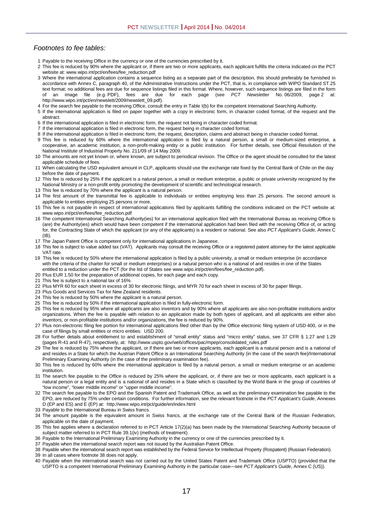#### *Footnotes to fee tables:*

- 1 Payable to the receiving Office in the currency or one of the currencies prescribed by it.
- 2 This fee is reduced by 90% where the applicant or, if there are two or more applicants, each applicant fulfills the criteria indicated on the PCT website at: www.wipo.int/pct/en/fees/fee\_reduction.pdf
- 3 Where the international application contains a sequence listing as a separate part of the description, this should preferably be furnished in accordance with Annex C, paragraph 40, of the Administrative Instructions under the PCT, that is, in compliance with WIPO Standard ST.25 text format; no additional fees are due for sequence listings filed in this format. Where, however, such sequence listings are filed in the form<br>of an image file (e.g. PDF), fees are due for each page (see PCT Newsletter N each page (see *PCT Newsletter* http://www.wipo.int/pct/en/newslett/2009/newslett\_09.pdf).
- 4 For the search fee payable to the receiving Office, consult the entry in Table I(b) for the competent International Searching Authority.
- 5 If the international application is filed on paper together with a copy in electronic form, in character coded format, of the request and the abstract.
- 6 If the international application is filed in electronic form, the request not being in character coded format.
- 7 If the international application is filed in electronic form, the request being in character coded format.
- 8 If the international application is filed in electronic form, the request, description, claims and abstract being in character coded format.
- 9 This fee is reduced by 60% where the international application is filed by a natural person, a small or medium-sized enterprise, a cooperative, an academic institution, a non-profit-making entity or a public institution. For further details, see Official Resolution of the National Institute of Industrial Property No. 211/09 of 14 May 2009.
- 10 The amounts are not yet known or, where known, are subject to periodical revision. The Office or the agent should be consulted for the latest applicable schedule of fees.
- 11 When calculating the USD equivalent amount in CLP, applicants should use the exchange rate fixed by the Central Bank of Chile on the day before the date of payment.
- 12 This fee is reduced by 25% if the applicant is a natural person, a small or medium enterprise, a public or private university recognized by the National Ministry or a non-profit entity promoting the development of scientific and technological research.
- 13 This fee is reduced by 70% where the applicant is a natural person.
- 14 The first amount of the transmittal fee is applicable to individuals or entities employing less than 25 persons. The second amount is applicable to entities employing 25 persons or more.
- 15 This fee is not payable in respect of international applications filed by applicants fulfilling the conditions indicated on the PCT website at: www.wipo.int/pct/en/fees/fee\_reduction.pdf
- 16 The competent International Searching Authority(ies) for an international application filed with the International Bureau as receiving Office is (are) the Authority(ies) which would have been competent if the international application had been filed with the receiving Office of, or acting for, the Contracting State of which the applicant (or any of the applicants) is a resident or national. See also *PCT Applicant's Guide*, Annex C  $(IB)$ .
- 17 The Japan Patent Office is competent only for international applications in Japanese.
- 18 This fee is subject to value added tax (VAT). Applicants may consult the receiving Office or a registered patent attorney for the latest applicable VAT rate.
- 19 This fee is reduced by 50% where the international application is filed by a public university, a small or medium enterprise (in accordance with the criteria of the charter for small or medium enterprises) or a natural person who is a national of and resides in one of the States entitled to a reduction under the PCT (for the list of States see www.wipo.int/pct/en/fees/fee\_reduction.pdf).
- 20 Plus EUR 1.50 for the preparation of additional copies, for each page and each copy.
- 21 This fee is subject to a national tax of 16%.
- 22 Plus MYR 60 for each sheet in excess of 30 for electronic filings, and MYR 70 for each sheet in excess of 30 for paper filings.
- 23 Plus Goods and Services Tax for New Zealand residents.
- 24 This fee is reduced by 50% where the applicant is a natural person.
- 25 This fee is reduced by 50% if the international application is filed in fully-electronic form.
- 26 This fee is reduced by 95% where all applicants are also inventors and by 90% where all applicants are also non-profitable institutions and/or organizations. When the fee is payable with relation to an application made by both types of applicant, and all applicants are either also inventors, or non-profitable institutions and/or organizations, the fee is reduced by 90%.
- 27 Plus non-electronic filing fee portion for international applications filed other than by the Office electronic filing system of USD 400, or in the case of filings by small entities or micro entities: USD 200.
- 28 For further details about entitlement to and establishment of "small entity" status and "micro entity" status, see 37 CFR § 1.27 and 1.29 (pages R-41 and R-47), respectively, at: http://www.uspto.gov/web/offices/pac/mpep/consolidated\_rules.pdf
- 29 The fee is reduced by 75% where the applicant, or if there are two or more applicants, each applicant is a natural person and is a national of and resides in a State for which the Austrian Patent Office is an International Searching Authority (in the case of the search fee)/International Preliminary Examining Authority (in the case of the preliminary examination fee).
- 30 This fee is reduced by 60% where the international application is filed by a natural person, a small or medium enterprise or an academic institution.
- 31 The search fee payable to the Office is reduced by 25% where the applicant, or, if there are two or more applicants, each applicant is a natural person or a legal entity and is a national of and resides in a State which is classified by the World Bank in the group of countries of "low income", "lower middle income" or "upper middle income".
- 32 The search fee payable to the EPO and the Spanish Patent and Trademark Office, as well as the preliminary examination fee payable to the EPO, are reduced by 75% under certain conditions. For further information, see the relevant footnote in the *PCT Applicant's Guide*, Annexes D (EP and ES) and E (EP) at: http://www.wipo.int/pct/guide/en/index.html
- 33 Payable to the International Bureau in Swiss francs.
- 34 The amount payable is the equivalent amount in Swiss francs, at the exchange rate of the Central Bank of the Russian Federation, applicable on the date of payment.
- 35 This fee applies where a declaration referred to in PCT Article 17(2)(a) has been made by the International Searching Authority because of subject matter referred to in PCT Rule 39.1(iv) (methods of treatment).
- 36 Payable to the International Preliminary Examining Authority in the currency or one of the currencies prescribed by it.
- 37 Payable when the international search report was not issued by the Australian Patent Office.

38 Payable when the international search report was established by the Federal Service for Intellectual Property (Rospatent) (Russian Federation).

- 39 In all cases where footnote 38 does not apply.
- 40 Payable when the international search was not carried out by the United States Patent and Trademark Office (USPTO) (provided that the USPTO is a competent International Preliminary Examining Authority in the particular case—see *PCT Applicant's Guide*, Annex C (US)).